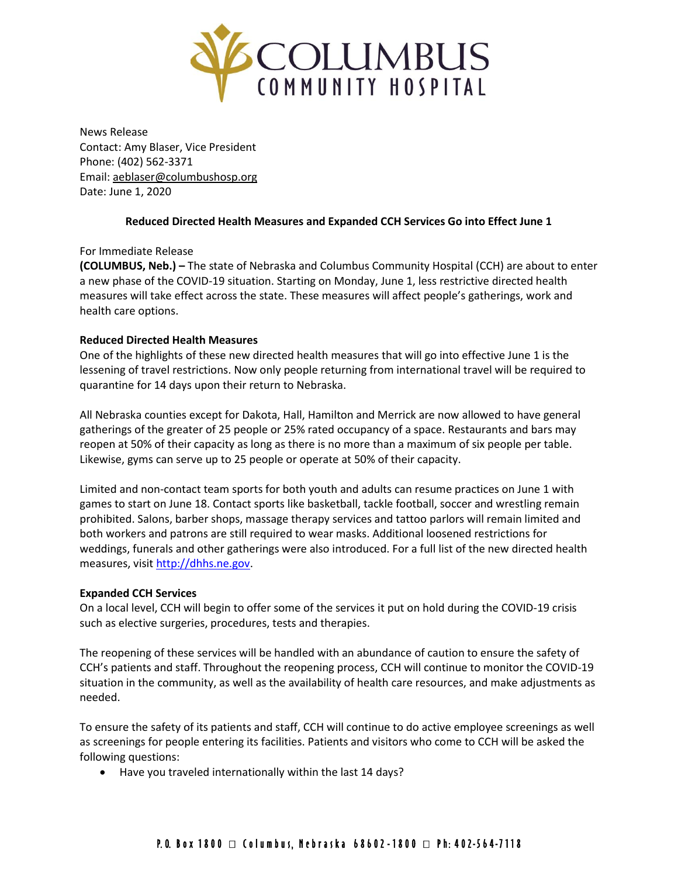

News Release Contact: Amy Blaser, Vice President Phone: (402) 562-3371 Email: [aeblaser@columbushosp.org](mailto:aeblaser@columbushosp.org) Date: June 1, 2020

# **Reduced Directed Health Measures and Expanded CCH Services Go into Effect June 1**

## For Immediate Release

**(COLUMBUS, Neb.) –** The state of Nebraska and Columbus Community Hospital (CCH) are about to enter a new phase of the COVID-19 situation. Starting on Monday, June 1, less restrictive directed health measures will take effect across the state. These measures will affect people's gatherings, work and health care options.

# **Reduced Directed Health Measures**

One of the highlights of these new directed health measures that will go into effective June 1 is the lessening of travel restrictions. Now only people returning from international travel will be required to quarantine for 14 days upon their return to Nebraska.

All Nebraska counties except for Dakota, Hall, Hamilton and Merrick are now allowed to have general gatherings of the greater of 25 people or 25% rated occupancy of a space. Restaurants and bars may reopen at 50% of their capacity as long as there is no more than a maximum of six people per table. Likewise, gyms can serve up to 25 people or operate at 50% of their capacity.

Limited and non-contact team sports for both youth and adults can resume practices on June 1 with games to start on June 18. Contact sports like basketball, tackle football, soccer and wrestling remain prohibited. Salons, barber shops, massage therapy services and tattoo parlors will remain limited and both workers and patrons are still required to wear masks. Additional loosened restrictions for weddings, funerals and other gatherings were also introduced. For a full list of the new directed health measures, visit [http://dhhs.ne.gov.](http://dhhs.ne.gov/)

## **Expanded CCH Services**

On a local level, CCH will begin to offer some of the services it put on hold during the COVID-19 crisis such as elective surgeries, procedures, tests and therapies.

The reopening of these services will be handled with an abundance of caution to ensure the safety of CCH's patients and staff. Throughout the reopening process, CCH will continue to monitor the COVID-19 situation in the community, as well as the availability of health care resources, and make adjustments as needed.

To ensure the safety of its patients and staff, CCH will continue to do active employee screenings as well as screenings for people entering its facilities. Patients and visitors who come to CCH will be asked the following questions:

Have you traveled internationally within the last 14 days?

# P.O. Box 1800 □ Columbus, Nebraska 68602-1800 □ Ph: 402-564-7118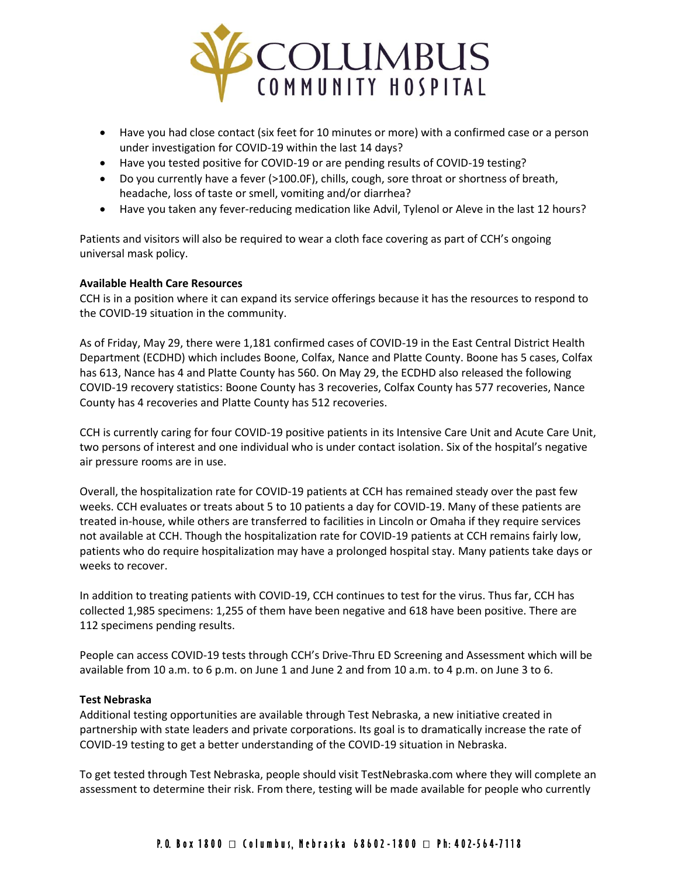

- Have you had close contact (six feet for 10 minutes or more) with a confirmed case or a person under investigation for COVID-19 within the last 14 days?
- Have you tested positive for COVID-19 or are pending results of COVID-19 testing?
- Do you currently have a fever (>100.0F), chills, cough, sore throat or shortness of breath, headache, loss of taste or smell, vomiting and/or diarrhea?
- Have you taken any fever-reducing medication like Advil, Tylenol or Aleve in the last 12 hours?

Patients and visitors will also be required to wear a cloth face covering as part of CCH's ongoing universal mask policy.

### **Available Health Care Resources**

CCH is in a position where it can expand its service offerings because it has the resources to respond to the COVID-19 situation in the community.

As of Friday, May 29, there were 1,181 confirmed cases of COVID-19 in the East Central District Health Department (ECDHD) which includes Boone, Colfax, Nance and Platte County. Boone has 5 cases, Colfax has 613, Nance has 4 and Platte County has 560. On May 29, the ECDHD also released the following COVID-19 recovery statistics: Boone County has 3 recoveries, Colfax County has 577 recoveries, Nance County has 4 recoveries and Platte County has 512 recoveries.

CCH is currently caring for four COVID-19 positive patients in its Intensive Care Unit and Acute Care Unit, two persons of interest and one individual who is under contact isolation. Six of the hospital's negative air pressure rooms are in use.

Overall, the hospitalization rate for COVID-19 patients at CCH has remained steady over the past few weeks. CCH evaluates or treats about 5 to 10 patients a day for COVID-19. Many of these patients are treated in-house, while others are transferred to facilities in Lincoln or Omaha if they require services not available at CCH. Though the hospitalization rate for COVID-19 patients at CCH remains fairly low, patients who do require hospitalization may have a prolonged hospital stay. Many patients take days or weeks to recover.

In addition to treating patients with COVID-19, CCH continues to test for the virus. Thus far, CCH has collected 1,985 specimens: 1,255 of them have been negative and 618 have been positive. There are 112 specimens pending results.

People can access COVID-19 tests through CCH's Drive-Thru ED Screening and Assessment which will be available from 10 a.m. to 6 p.m. on June 1 and June 2 and from 10 a.m. to 4 p.m. on June 3 to 6.

#### **Test Nebraska**

Additional testing opportunities are available through Test Nebraska, a new initiative created in partnership with state leaders and private corporations. Its goal is to dramatically increase the rate of COVID-19 testing to get a better understanding of the COVID-19 situation in Nebraska.

To get tested through Test Nebraska, people should visit TestNebraska.com where they will complete an assessment to determine their risk. From there, testing will be made available for people who currently

# P. O. Box 1800  $\Box$  Columbus, Nebraska 68602-1800  $\Box$  Ph: 402-564-7118